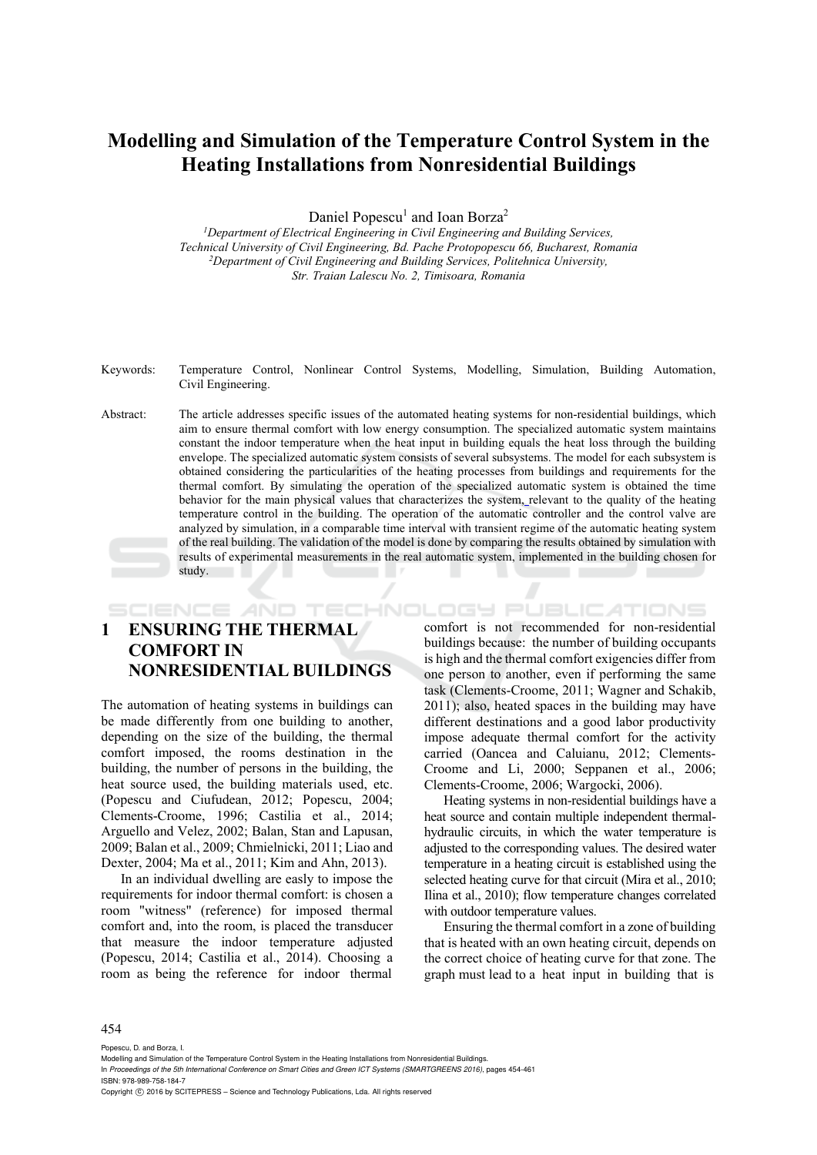# **Modelling and Simulation of the Temperature Control System in the Heating Installations from Nonresidential Buildings**

Daniel Popescu<sup>1</sup> and Ioan Borza<sup>2</sup>

<sup>1</sup>Department of Electrical Engineering in Civil Engineering and Building Services, *Technical University of Civil Engineering, Bd. Pache Protopopescu 66, Bucharest, Romania 2Department of Civil Engineering and Building Services, Politehnica University, Str. Traian Lalescu No. 2, Timisoara, Romania* 

- Keywords: Temperature Control, Nonlinear Control Systems, Modelling, Simulation, Building Automation, Civil Engineering.
- Abstract: The article addresses specific issues of the automated heating systems for non-residential buildings, which aim to ensure thermal comfort with low energy consumption. The specialized automatic system maintains constant the indoor temperature when the heat input in building equals the heat loss through the building envelope. The specialized automatic system consists of several subsystems. The model for each subsystem is obtained considering the particularities of the heating processes from buildings and requirements for the thermal comfort. By simulating the operation of the specialized automatic system is obtained the time behavior for the main physical values that characterizes the system, relevant to the quality of the heating temperature control in the building. The operation of the automatic controller and the control valve are analyzed by simulation, in a comparable time interval with transient regime of the automatic heating system of the real building. The validation of the model is done by comparing the results obtained by simulation with results of experimental measurements in the real automatic system, implemented in the building chosen for study.

SCIENCE AND TECHNOLOGY PUBLICATIONS

### **1 ENSURING THE THERMAL COMFORT IN NONRESIDENTIAL BUILDINGS**

The automation of heating systems in buildings can be made differently from one building to another, depending on the size of the building, the thermal comfort imposed, the rooms destination in the building, the number of persons in the building, the heat source used, the building materials used, etc. (Popescu and Ciufudean, 2012; Popescu, 2004; Clements-Croome, 1996; Castilia et al., 2014; Arguello and Velez, 2002; Balan, Stan and Lapusan, 2009; Balan et al., 2009; Chmielnicki, 2011; Liao and Dexter, 2004; Ma et al., 2011; Kim and Ahn, 2013).

In an individual dwelling are easly to impose the requirements for indoor thermal comfort: is chosen a room "witness" (reference) for imposed thermal comfort and, into the room, is placed the transducer that measure the indoor temperature adjusted (Popescu, 2014; Castilia et al., 2014). Choosing a room as being the reference for indoor thermal

comfort is not recommended for non-residential buildings because: the number of building occupants is high and the thermal comfort exigencies differ from one person to another, even if performing the same task (Clements-Croome, 2011; Wagner and Schakib, 2011); also, heated spaces in the building may have different destinations and a good labor productivity impose adequate thermal comfort for the activity carried (Oancea and Caluianu, 2012; Clements-Croome and Li, 2000; Seppanen et al., 2006; Clements-Croome, 2006; Wargocki, 2006).

Heating systems in non-residential buildings have a heat source and contain multiple independent thermalhydraulic circuits, in which the water temperature is adjusted to the corresponding values. The desired water temperature in a heating circuit is established using the selected heating curve for that circuit (Mira et al., 2010; Ilina et al., 2010); flow temperature changes correlated with outdoor temperature values.

Ensuring the thermal comfort in a zone of building that is heated with an own heating circuit, depends on the correct choice of heating curve for that zone. The graph must lead to a heat input in building that is

#### 454

Popescu, D. and Borza, I.

- In *Proceedings of the 5th International Conference on Smart Cities and Green ICT Systems (SMARTGREENS 2016)*, pages 454-461 ISBN: 978-989-758-184-7
- Copyright C 2016 by SCITEPRESS Science and Technology Publications, Lda. All rights reserved

Modelling and Simulation of the Temperature Control System in the Heating Installations from Nonresidential Buildings.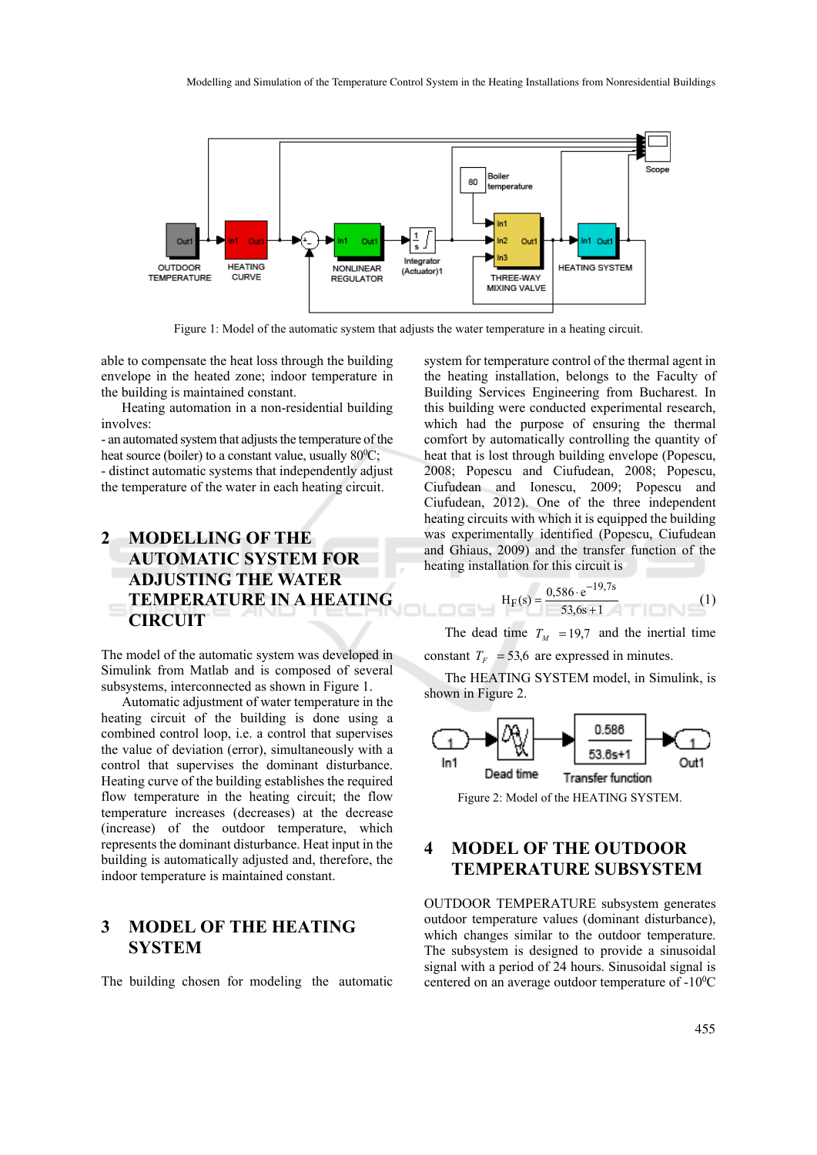

Figure 1: Model of the automatic system that adjusts the water temperature in a heating circuit.

able to compensate the heat loss through the building envelope in the heated zone; indoor temperature in the building is maintained constant.

Heating automation in a non-residential building involves:

- an automated system that adjusts the temperature of the heat source (boiler) to a constant value, usually  $80^0C$ ; - distinct automatic systems that independently adjust the temperature of the water in each heating circuit.

## **2 MODELLING OF THE AUTOMATIC SYSTEM FOR ADJUSTING THE WATER TEMPERATURE IN A HEATING CIRCUIT**

The model of the automatic system was developed in Simulink from Matlab and is composed of several subsystems, interconnected as shown in Figure 1.

Automatic adjustment of water temperature in the heating circuit of the building is done using a combined control loop, i.e. a control that supervises the value of deviation (error), simultaneously with a control that supervises the dominant disturbance. Heating curve of the building establishes the required flow temperature in the heating circuit; the flow temperature increases (decreases) at the decrease (increase) of the outdoor temperature, which represents the dominant disturbance. Heat input in the building is automatically adjusted and, therefore, the indoor temperature is maintained constant.

#### **3 MODEL OF THE HEATING SYSTEM**

The building chosen for modeling the automatic

system for temperature control of the thermal agent in the heating installation, belongs to the Faculty of Building Services Engineering from Bucharest. In this building were conducted experimental research, which had the purpose of ensuring the thermal comfort by automatically controlling the quantity of heat that is lost through building envelope (Popescu, 2008; Popescu and Ciufudean, 2008; Popescu, Ciufudean and Ionescu, 2009; Popescu and Ciufudean, 2012). One of the three independent heating circuits with which it is equipped the building was experimentally identified (Popescu, Ciufudean and Ghiaus, 2009) and the transfer function of the heating installation for this circuit is

$$
H_F(s) = \frac{0,586 \cdot e^{-19,7s}}{53,6s+1}
$$
 (1)

The dead time  $T_M$  = 19,7 and the inertial time constant  $T_F$  = 53,6 are expressed in minutes.

The HEATING SYSTEM model, in Simulink, is shown in Figure 2.



Figure 2: Model of the HEATING SYSTEM.

#### **4 MODEL OF THE OUTDOOR TEMPERATURE SUBSYSTEM**

OUTDOOR TEMPERATURE subsystem generates outdoor temperature values (dominant disturbance), which changes similar to the outdoor temperature. The subsystem is designed to provide a sinusoidal signal with a period of 24 hours. Sinusoidal signal is centered on an average outdoor temperature of -10<sup>0</sup>C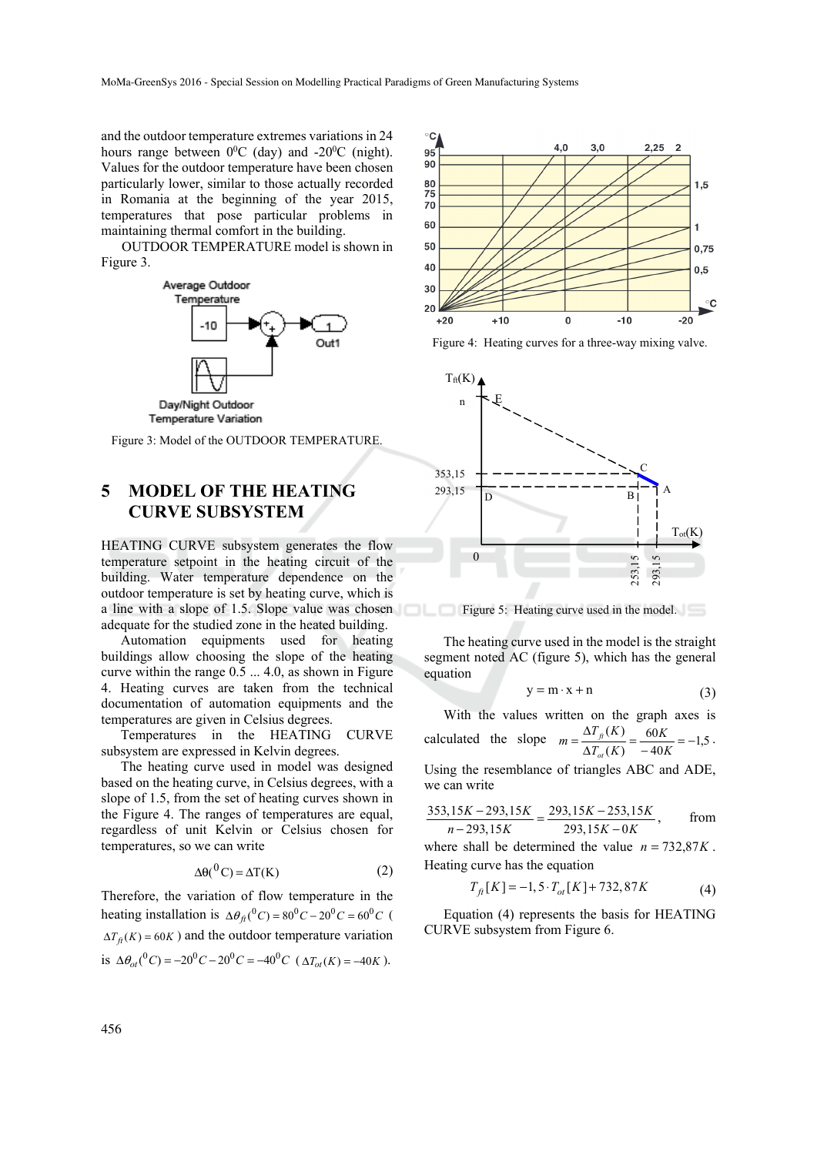and the outdoor temperature extremes variations in 24 hours range between  $0^0C$  (day) and -20<sup>0</sup>C (night). Values for the outdoor temperature have been chosen particularly lower, similar to those actually recorded in Romania at the beginning of the year 2015, temperatures that pose particular problems in maintaining thermal comfort in the building.

OUTDOOR TEMPERATURE model is shown in Figure 3.





#### **5 MODEL OF THE HEATING CURVE SUBSYSTEM**

HEATING CURVE subsystem generates the flow temperature setpoint in the heating circuit of the building. Water temperature dependence on the outdoor temperature is set by heating curve, which is a line with a slope of 1.5. Slope value was chosen adequate for the studied zone in the heated building.

Automation equipments used for heating buildings allow choosing the slope of the heating curve within the range 0.5 ... 4.0, as shown in Figure 4. Heating curves are taken from the technical documentation of automation equipments and the temperatures are given in Celsius degrees.

Temperatures in the HEATING CURVE subsystem are expressed in Kelvin degrees.

The heating curve used in model was designed based on the heating curve, in Celsius degrees, with a slope of 1.5, from the set of heating curves shown in the Figure 4. The ranges of temperatures are equal, regardless of unit Kelvin or Celsius chosen for temperatures, so we can write

$$
\Delta\theta(^0C) = \Delta T(K) \tag{2}
$$

Therefore, the variation of flow temperature in the heating installation is  $\Delta \theta_{\text{ft}}({}^{0}C) = 80 {}^{0}C - 20 {}^{0}C = 60 {}^{0}C$  (  $\Delta T_a(K) = 60K$ ) and the outdoor temperature variation is  $\Delta \theta_{\alpha t} ({}^{0}C) = -20 {}^{0}C - 20 {}^{0}C = -40 {}^{0}C (\Delta T_{\alpha t} (K) = -40K)$ .



Figure 4: Heating curves for a three-way mixing valve.



Figure 5: Heating curve used in the model.

The heating curve used in the model is the straight segment noted AC (figure 5), which has the general equation

$$
y = m \cdot x + n \tag{3}
$$

With the values written on the graph axes is calculated the slope  $m = \frac{\Delta T_f(K)}{\Delta T_g(K)} = \frac{60K}{-40K} = -1.5$ 60  $=\frac{\Delta T_{\beta}(K)}{\Delta T_{\alpha}(K)} = \frac{60K}{-40K} =$  $m = \frac{\Delta T_{\text{ft}}(K)}{\Delta T_{\text{gt}}(K)}$ *ot*  $f(t^{(k)}) = \frac{00k}{s-1} = -1.5$ .

Using the resemblance of triangles ABC and ADE, we can write

$$
\frac{353,15K - 293,15K}{n - 293,15K} = \frac{293,15K - 253,15K}{293,15K - 0K}
$$
, from

where shall be determined the value  $n = 732,87K$ . Heating curve has the equation

$$
T_{ft}[K] = -1, 5 \cdot T_{ot}[K] + 732,87K \tag{4}
$$

Equation (4) represents the basis for HEATING CURVE subsystem from Figure 6.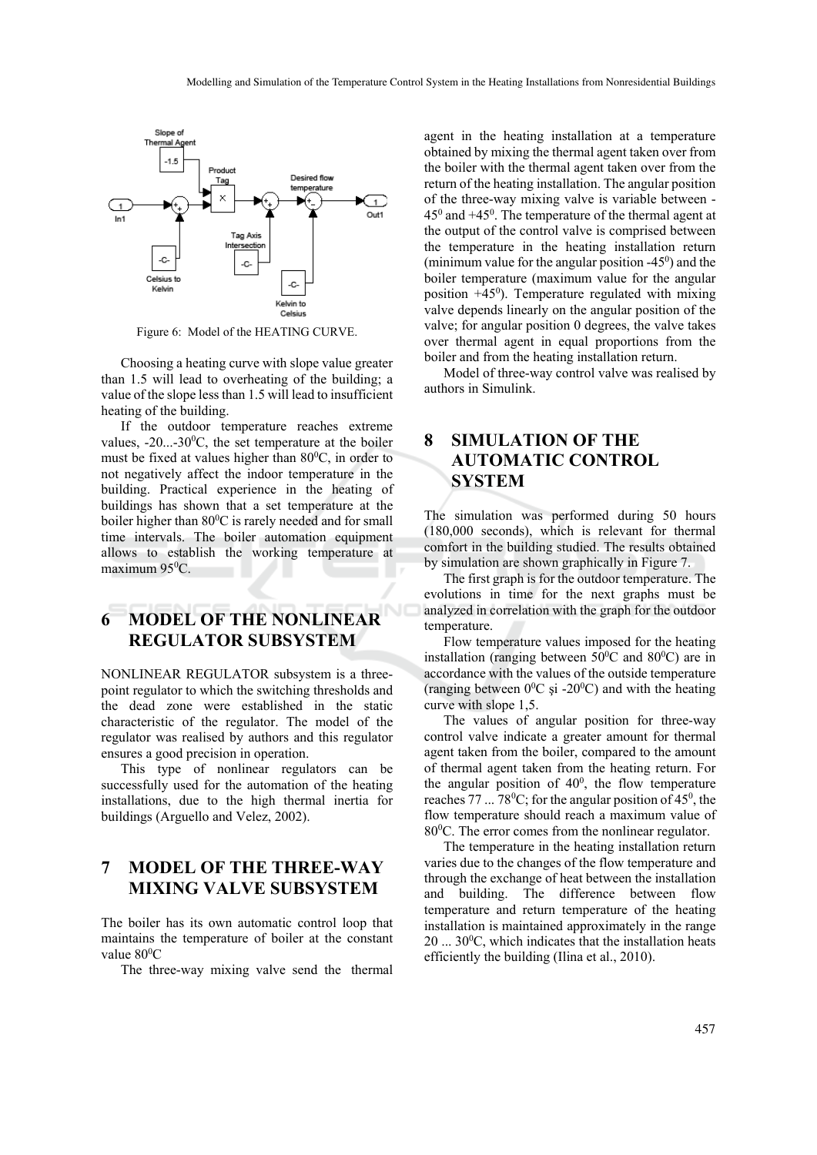

Figure 6: Model of the HEATING CURVE.

Choosing a heating curve with slope value greater than 1.5 will lead to overheating of the building; a value of the slope less than 1.5 will lead to insufficient heating of the building.

If the outdoor temperature reaches extreme values,  $-20...-30$ <sup>0</sup>C, the set temperature at the boiler must be fixed at values higher than  $80^{\circ}$ C, in order to not negatively affect the indoor temperature in the building. Practical experience in the heating of buildings has shown that a set temperature at the boiler higher than 80<sup>°</sup>C is rarely needed and for small time intervals. The boiler automation equipment allows to establish the working temperature at maximum 95<sup>0</sup>C.

#### **6 MODEL OF THE NONLINEAR REGULATOR SUBSYSTEM**

NONLINEAR REGULATOR subsystem is a threepoint regulator to which the switching thresholds and the dead zone were established in the static characteristic of the regulator. The model of the regulator was realised by authors and this regulator ensures a good precision in operation.

This type of nonlinear regulators can be successfully used for the automation of the heating installations, due to the high thermal inertia for buildings (Arguello and Velez, 2002).

## **7 MODEL OF THE THREE-WAY MIXING VALVE SUBSYSTEM**

The boiler has its own automatic control loop that maintains the temperature of boiler at the constant value 80<sup>0</sup>C

The three-way mixing valve send the thermal

agent in the heating installation at a temperature obtained by mixing the thermal agent taken over from the boiler with the thermal agent taken over from the return of the heating installation. The angular position of the three-way mixing valve is variable between -  $45^{\circ}$  and  $+45^{\circ}$ . The temperature of the thermal agent at the output of the control valve is comprised between the temperature in the heating installation return (minimum value for the angular position  $-45^\circ$ ) and the boiler temperature (maximum value for the angular position  $+45^\circ$ ). Temperature regulated with mixing valve depends linearly on the angular position of the valve; for angular position 0 degrees, the valve takes over thermal agent in equal proportions from the boiler and from the heating installation return.

Model of three-way control valve was realised by authors in Simulink.

### **8 SIMULATION OF THE AUTOMATIC CONTROL SYSTEM**

The simulation was performed during 50 hours (180,000 seconds), which is relevant for thermal comfort in the building studied. The results obtained by simulation are shown graphically in Figure 7.

The first graph is for the outdoor temperature. The evolutions in time for the next graphs must be analyzed in correlation with the graph for the outdoor temperature.

Flow temperature values imposed for the heating installation (ranging between  $50^{\circ}$ C and  $80^{\circ}$ C) are in accordance with the values of the outside temperature (ranging between  $0^0C$  și -20<sup>0</sup>C) and with the heating curve with slope 1,5.

The values of angular position for three-way control valve indicate a greater amount for thermal agent taken from the boiler, compared to the amount of thermal agent taken from the heating return. For the angular position of  $40^0$ , the flow temperature reaches  $77...78^{\circ}$ C; for the angular position of  $45^{\circ}$ , the flow temperature should reach a maximum value of 80<sup>0</sup>C. The error comes from the nonlinear regulator.

The temperature in the heating installation return varies due to the changes of the flow temperature and through the exchange of heat between the installation and building. The difference between flow temperature and return temperature of the heating installation is maintained approximately in the range  $20$  ...  $30^0$ C, which indicates that the installation heats efficiently the building (Ilina et al., 2010).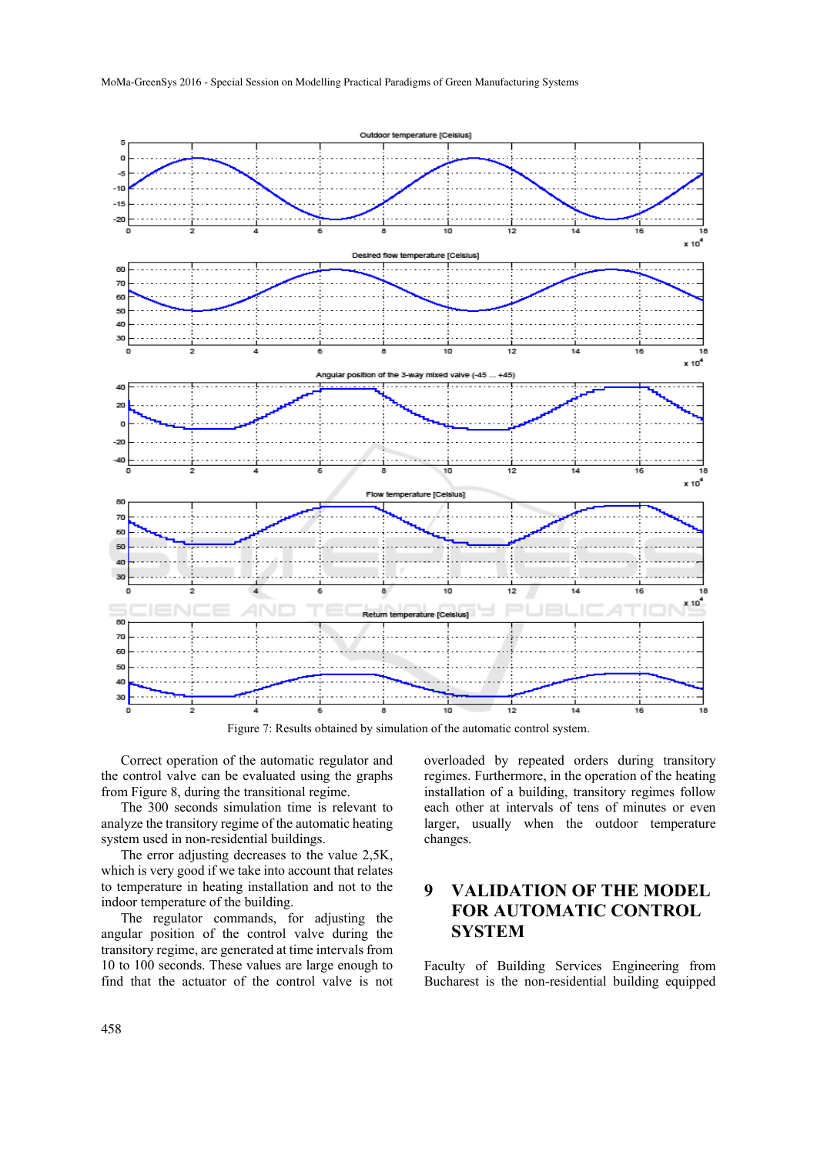

Figure 7: Results obtained by simulation of the automatic control system.

Correct operation of the automatic regulator and the control valve can be evaluated using the graphs from Figure 8, during the transitional regime.

The 300 seconds simulation time is relevant to analyze the transitory regime of the automatic heating system used in non-residential buildings.

The error adjusting decreases to the value 2,5K, which is very good if we take into account that relates to temperature in heating installation and not to the indoor temperature of the building.

The regulator commands, for adjusting the angular position of the control valve during the transitory regime, are generated at time intervals from 10 to 100 seconds. These values are large enough to find that the actuator of the control valve is not

overloaded by repeated orders during transitory regimes. Furthermore, in the operation of the heating installation of a building, transitory regimes follow each other at intervals of tens of minutes or even larger, usually when the outdoor temperature changes.

#### **9 VALIDATION OF THE MODEL FOR AUTOMATIC CONTROL SYSTEM**

Faculty of Building Services Engineering from Bucharest is the non-residential building equipped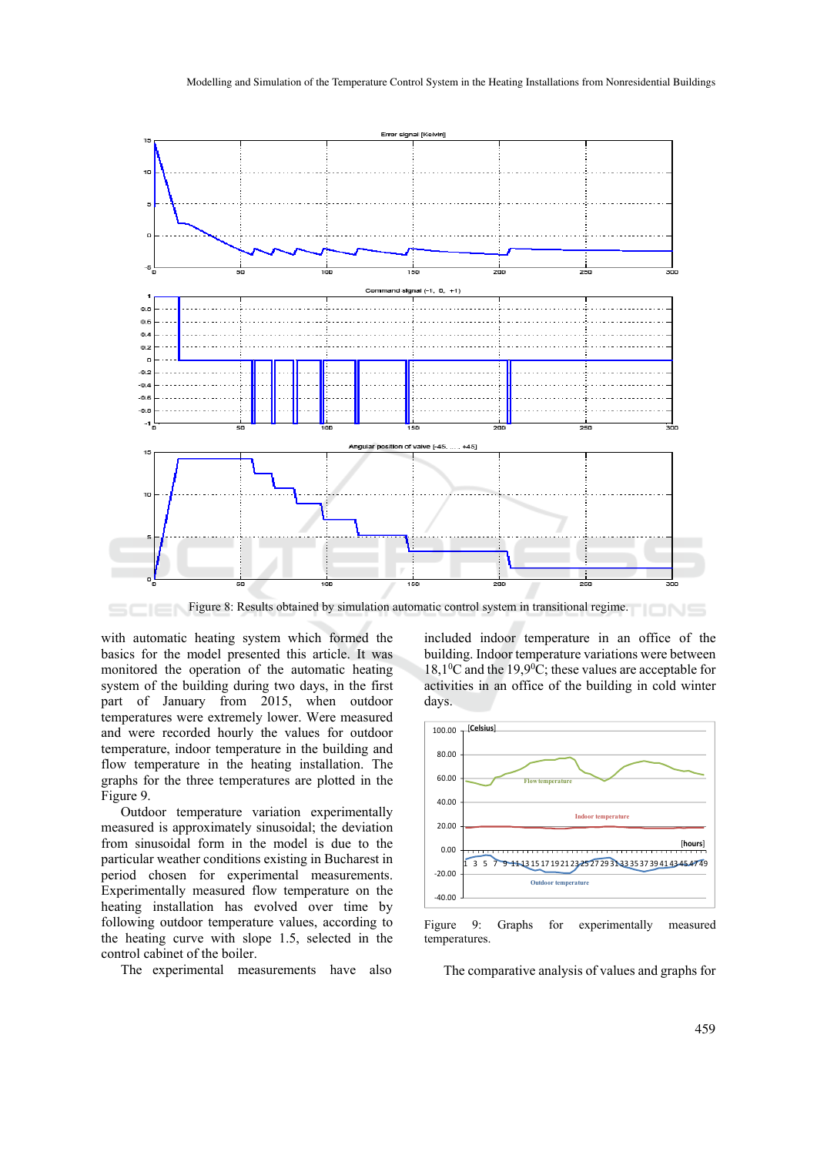

Figure 8: Results obtained by simulation automatic control system in transitional regime.

with automatic heating system which formed the basics for the model presented this article. It was monitored the operation of the automatic heating system of the building during two days, in the first part of January from 2015, when outdoor temperatures were extremely lower. Were measured and were recorded hourly the values for outdoor temperature, indoor temperature in the building and flow temperature in the heating installation. The graphs for the three temperatures are plotted in the Figure 9.

Outdoor temperature variation experimentally measured is approximately sinusoidal; the deviation from sinusoidal form in the model is due to the particular weather conditions existing in Bucharest in period chosen for experimental measurements. Experimentally measured flow temperature on the heating installation has evolved over time by following outdoor temperature values, according to the heating curve with slope 1.5, selected in the control cabinet of the boiler.

The experimental measurements have also

included indoor temperature in an office of the building. Indoor temperature variations were between 18,10 C and the 19,90 C; these values are acceptable for activities in an office of the building in cold winter days.



Figure 9: Graphs for experimentally measured temperatures.

The comparative analysis of values and graphs for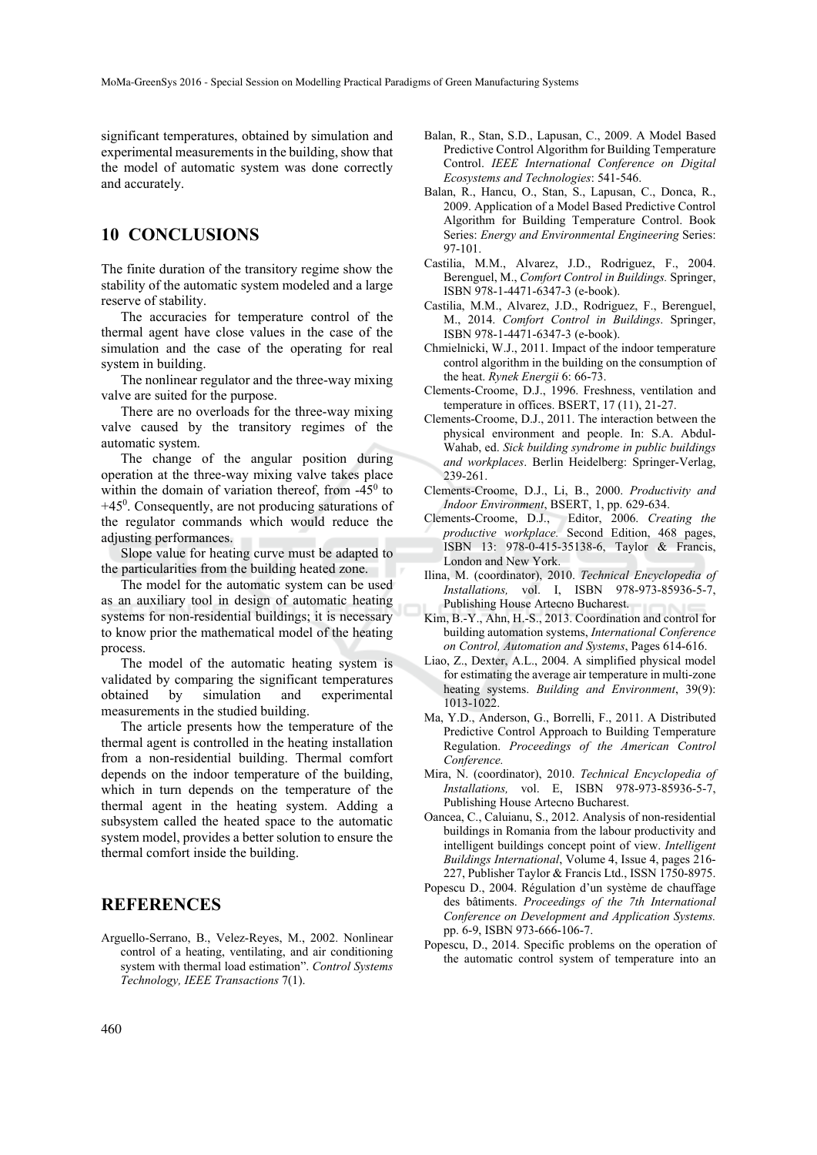significant temperatures, obtained by simulation and experimental measurements in the building, show that the model of automatic system was done correctly and accurately.

#### **10 CONCLUSIONS**

The finite duration of the transitory regime show the stability of the automatic system modeled and a large reserve of stability.

The accuracies for temperature control of the thermal agent have close values in the case of the simulation and the case of the operating for real system in building.

The nonlinear regulator and the three-way mixing valve are suited for the purpose.

There are no overloads for the three-way mixing valve caused by the transitory regimes of the automatic system.

The change of the angular position during operation at the three-way mixing valve takes place within the domain of variation thereof, from  $-45^\circ$  to +450 . Consequently, are not producing saturations of the regulator commands which would reduce the adjusting performances.

Slope value for heating curve must be adapted to the particularities from the building heated zone.

The model for the automatic system can be used as an auxiliary tool in design of automatic heating systems for non-residential buildings; it is necessary to know prior the mathematical model of the heating process.

The model of the automatic heating system is validated by comparing the significant temperatures obtained by simulation and experimental measurements in the studied building.

The article presents how the temperature of the thermal agent is controlled in the heating installation from a non-residential building. Thermal comfort depends on the indoor temperature of the building, which in turn depends on the temperature of the thermal agent in the heating system. Adding a subsystem called the heated space to the automatic system model, provides a better solution to ensure the thermal comfort inside the building.

#### **REFERENCES**

Arguello-Serrano, B., Velez-Reyes, M., 2002. Nonlinear control of a heating, ventilating, and air conditioning system with thermal load estimation". *Control Systems Technology, IEEE Transactions* 7(1).

- Balan, R., Stan, S.D., Lapusan, C., 2009. A Model Based Predictive Control Algorithm for Building Temperature Control. *IEEE International Conference on Digital Ecosystems and Technologies*: 541-546.
- Balan, R., Hancu, O., Stan, S., Lapusan, C., Donca, R., 2009. Application of a Model Based Predictive Control Algorithm for Building Temperature Control. Book Series: *Energy and Environmental Engineering* Series: 97-101.
- Castilia, M.M., Alvarez, J.D., Rodriguez, F., 2004. Berenguel, M., *Comfort Control in Buildings.* Springer, ISBN 978-1-4471-6347-3 (e-book).
- Castilia, M.M., Alvarez, J.D., Rodriguez, F., Berenguel, M., 2014. *Comfort Control in Buildings*. Springer, ISBN 978-1-4471-6347-3 (e-book).
- Chmielnicki, W.J., 2011. Impact of the indoor temperature control algorithm in the building on the consumption of the heat. *Rynek Energii* 6: 66-73.
- Clements-Croome, D.J., 1996. Freshness, ventilation and temperature in offices. BSERT, 17 (11), 21-27.
- Clements-Croome, D.J., 2011. The interaction between the physical environment and people. In: S.A. Abdul-Wahab, ed. *Sick building syndrome in public buildings and workplaces*. Berlin Heidelberg: Springer-Verlag, 239-261.
- Clements-Croome, D.J., Li, B., 2000. *Productivity and Indoor Environment*, BSERT, 1, pp. 629-634.
- Clements-Croome, D.J., Editor, 2006. *Creating the productive workplace.* Second Edition, 468 pages, ISBN 13: 978-0-415-35138-6, Taylor & Francis, London and New York.
- Ilina, M. (coordinator), 2010. *Technical Encyclopedia of Installations,* vol. I, ISBN 978-973-85936-5-7, Publishing House Artecno Bucharest.
- Kim, B.-Y., Ahn, H.-S., 2013. Coordination and control for building automation systems, *International Conference on Control, Automation and Systems*, Pages 614-616.
- Liao, Z., Dexter, A.L., 2004. A simplified physical model for estimating the average air temperature in multi-zone heating systems. *Building and Environment*, 39(9): 1013-1022.
- Ma, Y.D., Anderson, G., Borrelli, F., 2011. A Distributed Predictive Control Approach to Building Temperature Regulation. *Proceedings of the American Control Conference.*
- Mira, N. (coordinator), 2010. *Technical Encyclopedia of Installations,* vol. E, ISBN 978-973-85936-5-7, Publishing House Artecno Bucharest.
- Oancea, C., Caluianu, S., 2012. Analysis of non-residential buildings in Romania from the labour productivity and intelligent buildings concept point of view. *Intelligent Buildings International*, Volume 4, Issue 4, pages 216- 227, Publisher Taylor & Francis Ltd., ISSN 1750-8975.
- Popescu D., 2004. Régulation d'un système de chauffage des bâtiments. *Proceedings of the 7th International Conference on Development and Application Systems.* pp. 6-9, ISBN 973-666-106-7.
- Popescu, D., 2014. Specific problems on the operation of the automatic control system of temperature into an